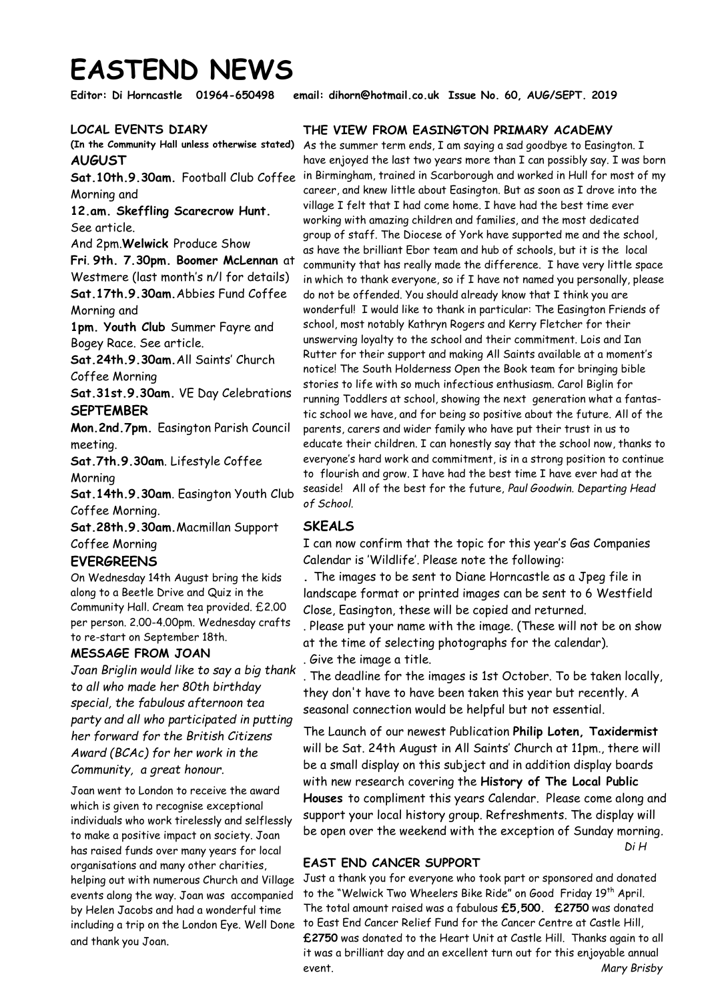# **EASTEND NEWS**

**Editor: Di Horncastle 01964-650498 email: dihorn@hotmail.co.uk Issue No. 60, AUG/SEPT. 2019** 

## **LOCAL EVENTS DIARY**

**(In the Community Hall unless otherwise stated) AUGUST** 

**Sat.10th.9.30am.** Football Club Coffee Morning and

**12.am. Skeffling Scarecrow Hunt.**  See article.

And 2pm.**Welwick** Produce Show

**Fri**. **9th. 7.30pm. Boomer McLennan** at Westmere (last month's n/l for details) **Sat.17th.9.30am.**Abbies Fund Coffee Morning and

**1pm. Youth Club** Summer Fayre and Bogey Race. See article.

**Sat.24th.9.30am.**All Saints' Church Coffee Morning

**Sat.31st.9.30am.** VE Day Celebrations **SEPTEMBER** 

**Mon.2nd.7pm.** Easington Parish Council meeting.

**Sat.7th.9.30am**. Lifestyle Coffee Morning

**Sat.14th.9.30am**. Easington Youth Club Coffee Morning.

**Sat.28th.9.30am.**Macmillan Support Coffee Morning

# **EVERGREENS**

On Wednesday 14th August bring the kids along to a Beetle Drive and Quiz in the Community Hall. Cream tea provided. £2.00 per person. 2.00-4.00pm. Wednesday crafts to re-start on September 18th.

# **MESSAGE FROM JOAN**

*Joan Briglin would like to say a big thank to all who made her 80th birthday special, the fabulous afternoon tea party and all who participated in putting her forward for the British Citizens Award (BCAc) for her work in the Community, a great honour.*

Joan went to London to receive the award which is given to recognise exceptional individuals who work tirelessly and selflessly to make a positive impact on society. Joan has raised funds over many years for local organisations and many other charities, helping out with numerous Church and Village events along the way. Joan was accompanied by Helen Jacobs and had a wonderful time and thank you Joan.

## **THE VIEW FROM EASINGTON PRIMARY ACADEMY**

As the summer term ends, I am saying a sad goodbye to Easington. I have enjoyed the last two years more than I can possibly say. I was born in Birmingham, trained in Scarborough and worked in Hull for most of my career, and knew little about Easington. But as soon as I drove into the village I felt that I had come home. I have had the best time ever working with amazing children and families, and the most dedicated group of staff. The Diocese of York have supported me and the school, as have the brilliant Ebor team and hub of schools, but it is the local community that has really made the difference. I have very little space in which to thank everyone, so if I have not named you personally, please do not be offended. You should already know that I think you are wonderful! I would like to thank in particular: The Easington Friends of school, most notably Kathryn Rogers and Kerry Fletcher for their unswerving loyalty to the school and their commitment. Lois and Ian Rutter for their support and making All Saints available at a moment's notice! The South Holderness Open the Book team for bringing bible stories to life with so much infectious enthusiasm. Carol Biglin for running Toddlers at school, showing the next generation what a fantastic school we have, and for being so positive about the future. All of the parents, carers and wider family who have put their trust in us to educate their children. I can honestly say that the school now, thanks to everyone's hard work and commitment, is in a strong position to continue to flourish and grow. I have had the best time I have ever had at the seaside! All of the best for the future, *Paul Goodwin. Departing Head of School.*

## **SKEALS**

I can now confirm that the topic for this year's Gas Companies Calendar is 'Wildlife'. Please note the following:

**.** The images to be sent to Diane Horncastle as a Jpeg file in landscape format or printed images can be sent to 6 Westfield Close, Easington, these will be copied and returned.

. Please put your name with the image. (These will not be on show at the time of selecting photographs for the calendar). . Give the image a title.

. The deadline for the images is 1st October. To be taken locally, they don't have to have been taken this year but recently. A seasonal connection would be helpful but not essential.

The Launch of our newest Publication **Philip Loten, Taxidermist**  will be Sat. 24th August in All Saints' Church at 11pm., there will be a small display on this subject and in addition display boards with new research covering the **History of The Local Public Houses** to compliment this years Calendar. Please come along and support your local history group. Refreshments. The display will be open over the weekend with the exception of Sunday morning*. Di H* 

# **EAST END CANCER SUPPORT**

Just a thank you for everyone who took part or sponsored and donated to the "Welwick Two Wheelers Bike Ride" on Good Friday 19<sup>th</sup> April. The total amount raised was a fabulous **£5,500. £2750** was donated including a trip on the London Eye. Well Done 'to East End Cancer Relief Fund for the Cancer Centre at Castle Hill, **£2750** was donated to the Heart Unit at Castle Hill. Thanks again to all it was a brilliant day and an excellent turn out for this enjoyable annual event. *Mary Brisby*